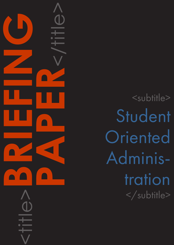<subtitle> Student Oriented Adminis tration </subtitle>

<title>**BRIEFING**

**PAPER**<br>CONSTRAINS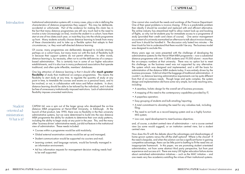Introduction Institutional administration systems still, in many cases, play a role in defining the characteristics of distance programmes they support. This may be deliberate, accidental or unfortunate. Part of the evidence for making this claim lies in the fact that many distance programmes are still very much tied to the need to involve a tutor (increasingly on-line), involve the student in a cohort, have them start at one of two dates each year, or insist they buy into the whole programme up front. Many students actually choose distance learning to break from many of these characteristics and to take up a flexible option that adapts to their circumstances, i.e. they want self-directed distance learning.

> One big attraction of distance learning is that it should offer much greater flexibility of study than traditional on-campus programmes. This means the flexibility to start study at any time, to regulate the quantity of study at any point in time, to timetable the courses and exams on a personal basis, and to be involved, or not, in collaboration with tutors and fellow students. In short, distance learning should be able to be tailored by the individual, and it should be free of unnecessary institutionally-imposed restrictions. Lack of administrative flexibility imposes unwanted restrictions.

> Of course, many programmes are deliberately designed to include tutoring, perhaps on a cohort basis, but many more run with this lack of flexibility built in because their support systems do not permit otherwise. In other words, distance learning is, by necessity, often run to suit the deficiencies of a campusbased administration. This is certainly true in some of our higher education establishments, and it is also true in many professional associations that operate traditional, and often quite inflexible, members' databases.

> CAPDM Ltd. was a spin out of the larger group who developed the on-line distance MBA programme at Heriot-Watt University, in Edinburgh. At the launch of that product, late 1990, there was no flexibility in the then university administrative systems, but we were determined to build into the new distance MBA programme the ability for students to determine their own study patterns, including the ability to begin study at any point in the year. This, and the many other 'business driven' administrative needs, just did not feature in the institutional view of administration. These needs included:

- •A seamless, holistic design for the overall set of business processes;
- •A mapping of this need to the contemporary capabilities provided by IT;
- •A paperless operation;
- •Easy grouping of students and bulk emailing/reporting;
- •A total commitment to obviating the need for any valueless task, including filing;
- •The need to act both as a record keeping system and as a highly function MIS system;
- Low cost, rapid development to meet business objectives;

- •Courses within a programme would be sold modularly;
- •Global external examination centres would be set up and managed;
- Student communication would be supported via couriers and mail;
- •Learning content, and language variants, would be formally managed in an information environment;
- •Ad hoc information requests for management decision making needs had to be well supported.

# Student oriented ad ministration: What is it?

One cannot also overlook the needs and workings of the Finance Department. One of their great problems is invoice chasing. If this is a predictable problem then ideally it should be avoided and replaced with and efficient alternative. The airline industry has streamlined itself to allow instant look-up and booking of flights, so why not let students pay for immediate access to a programme of study (provided their credit card clears of course). One senior management accountant of a university earmarked an afternoon to talk about invoice chasing, and how it should be handled it. The discussion only lasted two minutes – the time it took for him to understand that there wouldn't be any. The business model was designed to exclude this.

Many years ago we were presented with the challenge of developing the administrative systems for the Heriot-Watt MBA programme – now a substantial distance programme with over 11,800 students and 19,000 alumni - more than the on-campus numbers at that university. There was no option but to meet this challenge, as the business need was not supported by any alternative. The system which was designed and implemented, and is still the basis for administration of the distance MBA students today. It was entirely driven by the business processes. It did not inherit the baggage of traditional administration - it couldn't, as distance learning administrative requirements can be quite different from that of on-campus needs. Though large and quite complex, the system design and implementation did have some very simple, but wide reaching aims, including:

and, of course, a student centred view of administration – not a course centred view (as some would suggest), or an institution centred view, but a student centred view.

How does this fit with the debate about the advantages and disadvantages of home-grown systems versus the off-the-shelf options? Where is the choice? If the need is bespoke, and when the solution can be a significant factor in gaining competitive advantage, there can be little point to battling to fit the need into an inappropriate framework. In this paper, we are promoting student orientated administration, not from some abstract third party perspective, but from past experience and success at it. There are many UK higher education failure stories about centralised administration initiatives – such as the MAC initiative – and one meets very few academics extolling the virtues of their institutional systems.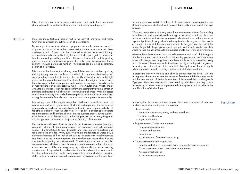This is inappropriate in a business environment, and particularly one where changes have to be understood, interpreted and implemented rapidly.

Barriers There are many technical barriers put in the way of innovative and highly functional administration, but these can all be overcome.

> For example it is easy to achieve a paperless (internal) system as every bit of paper produced for a student, examination centre or whatever will have a reference on it. Paper has to be produced for students at some point, e.g. examination results, but that is straightforward. Bulk reports go to a printer and then to an envelope stuffing machine. However if we re-interpret the printing process, where every individual page of a bulk report is interpreted for its content – including reference number – then pages can be e-filed accordingly as part of the process.

> This can also be done for the ad hoc, one-off letter sent to a student by doing similarly through standard tools such as Word. In a student orientated system correspondence from the student can be quickly scanned, e-filed in the right place (as the system knows about the student) and the original thrown away. The advantage that a truly paperless system offers is enormous – literally weeks of manual filing can be replaced by minutes of computer time. What's more; when the information is then needed all information is instantly available through standard desktop tools (web browsers) to everyone at all times. When processes that take unnecessary time and effort are replaced in this way, the time and cost savings become significant but the customer service is improved immeasurably.

> Interestingly, one of the biggest integration challenges comes from email – a communication that is, by definition, electronic and paperless. However email is generally unstructured, uncontrollable and badly used. Some students will fire off an email rather than think for themselves, and it is a challenge to integrate the management and handling of email into the business processes and systems. After the initial tie up of an email to a student this process can be neatly integrated too, though it can be enhanced by judicious 'training' of the student.

We often hear the statement: "you should involve the end user". This is a great aim, but if the end user is not able to see the big picture and not able to see where advantages can be gained then there is little to be achieved by doing this. If, however, they are capable, then there are big advantages to be gained. In moving to a student orientated administration system we found it highly advantageous to move to creating a student-orientated administrator.

In presenting this view there is one obvious change from the norm. We are talking here about systems that are designed firmly around the business needs and the interpretation of the implementation of these needs by knowledgeable IT people. It is not an interpretation dominated by administrators – they cannot be expected to know how to implement efficient systems and to achieve the benefits of today's technology.

- Student details:
	- ɳ Matriculation number, name, address, email, etc.
	- ɳ Previous qualifications
	- Agent information
- Programme and Course management:
	- ɳ Programme specification
	- ɳ Courses and options
	- ɳ Exemptions
	- ɳ Assessment and Examination make-up
- •Course assignment and progression:
	- $-$  Register student on a course and track progress through assessments
	- ɳ Course examination and assessment management
	- ɳ Assessment scheduling
	- ɳ Assessment management

The key is to understand how to integrate the business processes through a coherent IT strategy to produce a single system approach to all administrative needs. The temptation to buy disparate and very expensive systems and tools should be avoided. Many such systems are inadequate or worse still, a distraction because of their lack of difficulty to integrate with, usually because they have to be the dominant system. The only dominant system should be the one directly supporting the business need. Once integration is seen as central to the system – and efficient process implementation is mastered – then all sorts of extras become possible. You can go way beyond the traditional record keeping requirements. It is possible to combine functionality and ambition, for example to collect all examination results (every answer to every multi-choice question, etc) to build an integrated research database rich in data and in attributes. From

this same database statistical profiles of all questions can be generated – one of the many functions that continually ensure that quality improvement is always an issue.

Of course integration is relatively easy if you are always looking for it, willing to embrace it and knowledgeable enough to achieve it and this illustrates an important issue with student orientated administration – perhaps the most important point of all. Any administration system is only as good as the people who use it. It was vital therefore to communicate the goals and the principles behind the goals to the people who were going to use the systems otherwise they would not see the advantages to the business and to their working environment.

In any system (distance and on-campus) there are a number of common functions, such as recording and maintaining:

Functions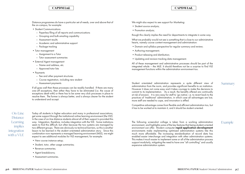- 
- 

Distance programmes do have a particular set of needs, over and above that of the on-campus, for example:

- Student Communications
	- $-$  Paperless filing of all reports and communications
	- ɳ Grouping and bulk emailing capability
	- ɳ Assessment results
	- Academic and administrative support
	- Package tracking
- •Tutor management
	- ɳ Assignment to a Tutor
	- ɳ Tutor assessment summaries
- •External Agent management
	- ɳ Name and address, etc.
	- ɳ Approved tutor lists
- •Payments
	- Fee and other payment structures
	- ɳ Course registration, including new student
	- ɳ Assessment payments

If all goes well then these processes can be readily handled. If there are many one-off exceptions, then either they have to be eliminated (i.e. the cause of exceptions dealt with) or there has to be some very slick processes in place to resolve them. The former is always better, and is always clearer for the student to understand and accept.

- New course instance setup;
- Student, tutor, other usage summaries;
- Revenue summaries:
- •Agent breakdowns;
- •Assessment summaries.

We might also expect to see support for Marketing:

- Student source analysis;
- Promotion analysis;

Today all students in higher education and many in professional associations, get some support through the institutional online learning environment (the VLE). In the case of on-line distance students almost all of their support is provided this way. Integration, therefore, includes integration with the VLE. Some institutions seem to find this difficult, but often because the two systems are managed by two different groups. There are obviously no technical barriers, so this is another lesson to be learned in the student orientated administration story. Since this combination now represents a managed learning environment (MLE), we might expect to see additional modules for VLE management, for example:

On-Line Distance **Learning** implies integration with a VLE

though this clearly implies the need for departments to integrate in some way.

What we probably would not see is something that is close to our administrative hearts, namely course content management and administration:

- •Domain and syllabus perspective for regular summary and review;
- •Authoring management;
- Product releasing and distribution;
- •Updating and revision tracking data management.

All of these management and administrative processes should be part of the integrated whole – the MLE. It should therefore not be a surprise to find VLE management functions within the administration environment too.

Student orientated administration represents a quite different view of administration from the norm, and provides significant benefits to an institution. However it does not come easy and it takes courage to make the decisions to commit to its implementation. As a result, the benefits offered are continually at risk of erosion. It is very easy for staff to 'go native', i.e. to revert back to the practices of 'traditional' administration, in which case all advantages are lost, more staff are needed to cope, and innovation is stifled.

Competitive advantage comes from flexible and efficient administration too, but it has to be worked at to maintain it, and it should be student oriented.

The following screenshot collage is taken from a working administration environment, and highlights some of the key features that being student-oriented environment can offer. Modern computer rapid application development environments make implementing optimised administration systems like this much more affordable. The increasing standardisation of record data has enabled easier interchange and integration with other administration systems. This makes it much easier to implement some or all of the administration process support modularly, mitigating the need to have one "all controlling" and usually expensive administration system.

### Summary

## Example